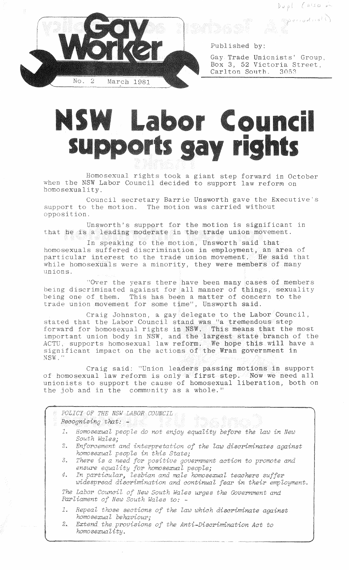$Dupl$  (also  $\sim$ 

Speriado (A)



Published by:

Gay Trade Unionists' Group, Box 3, 52 Victoria Street,<br>Carlton South, 3053 Carlton South,

## **NSW Labor Council** supports gay rights

Homosexual rights took a giant step forward in October when the NSW Labor Council decided to support law reform on homosexuality.

Council secretary Barrie Unsworth gave the Executive's support to the motion. The motion was carried without opposition

Unsworth's support for the motion is significant in that he is a leading moderate in the trade union movement.

In speaking to the motion, Unsworth said that homosexuals suffered discrimination in employment, an area of particular interest to the trade union movement. He said that while homosexuals were a minority, they were members of many unions.

"Over the years there have been many cases of members being discriminated against for all manner of things, sexuality being one of them. This has been a matter of concern to the trade union movement for some time", Unsworth said.

aig Johnston, a gay delegate to the Labor Council, stated that the Labor Council stand was "a tremendous step" stated that the Labor Council stand was "a tremendous step"<br>forward for homosexual rights i<mark>n NSW. This means that the</mark> most tant union body in NSW, and the largest state branch of the ACTU, supports homosexual law reform. We hope this will have a significant impact on the actions of the Wran government in NSW.'

Craig said: "Union leaders passing motions in support of homosexual law reform is only a first step. Now we need all unionists to support the cause of homosexual liberation, both on the job and in the community as a whole."

|                         | POLICY OF THE NSW LABOR COUNCIL                                                                                                 |
|-------------------------|---------------------------------------------------------------------------------------------------------------------------------|
|                         | $Recognising that: -$                                                                                                           |
| 1.                      | Homosexual people do not enjoy equality before the law in New<br>South Wales:                                                   |
| 2.                      | Enforcement and interpretation of the law discriminates against<br>homosexual people in this State;                             |
| 3.                      | There is a need for positive government action to promote and<br>ensure equality for homosexual people;                         |
| 4.                      | In particular, lesbian and male homosexual teachers suffer<br>widespread discrimination and continual fear in their employment. |
|                         | The Labor Council of New South Wales urges the Government and<br>Parliament of New South Wales to: -                            |
| $\mathcal{I}_{\bullet}$ | Repeal those sections of the law which discriminate against<br>homosexual behaviour;                                            |
| 2.                      | Extend the provisions of the Anti-Discrimination Act to<br>homosexuality.                                                       |